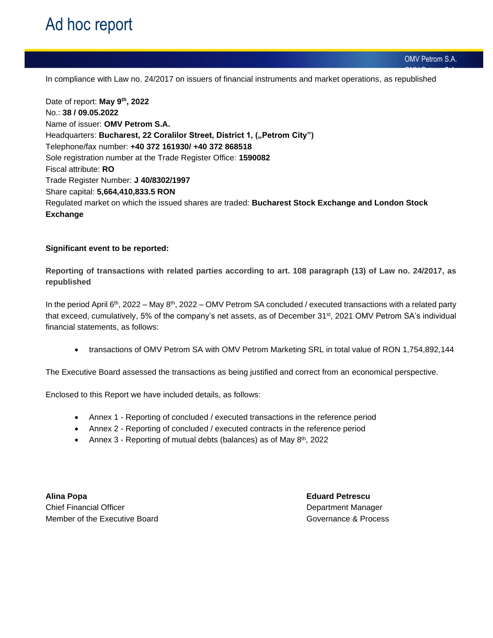OMV Petrom S.A. In compliance with Law no. 24/2017 on issuers of financial instruments and market operations, as republished

Date of report: **May 9 th , 2022** No.: **38 / 09.05.2022** Name of issuer: **OMV Petrom S.A.** Headquarters: Bucharest, 22 Coralilor Street, District 1, ("Petrom City") Telephone/fax number: **+40 372 161930/ +40 372 868518**  Sole registration number at the Trade Register Office: **1590082** Fiscal attribute: **RO** Trade Register Number: **J 40/8302/1997** Share capital: **5,664,410,833.5 RON** Regulated market on which the issued shares are traded: **Bucharest Stock Exchange and London Stock Exchange**

## **Significant event to be reported:**

**Reporting of transactions with related parties according to art. 108 paragraph (13) of Law no. 24/2017, as republished**

In the period April 6<sup>th</sup>, 2022 – May 8<sup>th</sup>, 2022 – OMV Petrom SA concluded / executed transactions with a related party that exceed, cumulatively, 5% of the company's net assets, as of December 31<sup>st</sup>, 2021 OMV Petrom SA's individual financial statements, as follows:

• transactions of OMV Petrom SA with OMV Petrom Marketing SRL in total value of RON 1,754,892,144

The Executive Board assessed the transactions as being justified and correct from an economical perspective.

Enclosed to this Report we have included details, as follows:

- Annex 1 Reporting of concluded / executed transactions in the reference period
- Annex 2 Reporting of concluded / executed contracts in the reference period
- Annex 3 Reporting of mutual debts (balances) as of May 8<sup>th</sup>, 2022

**Alina Popa Eduard Petrescu** Chief Financial Officer **Department Manager** Department Manager Member of the Executive Board Governance & Process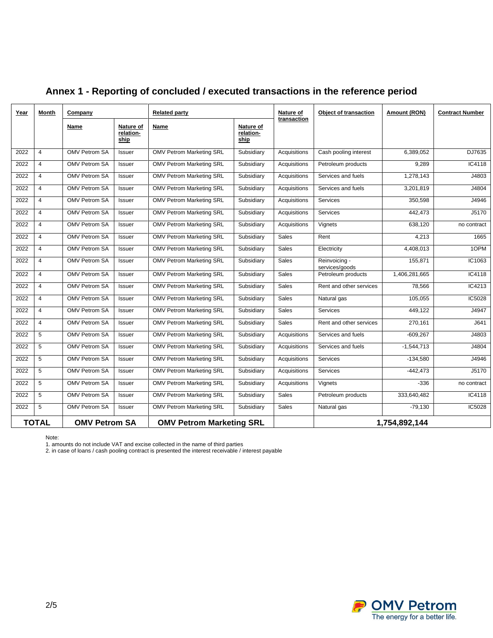| Year | Month          | Company              |                                | <b>Related party</b>            |                                | Nature of           | <b>Object of transaction</b>    | Amount (RON)  | <b>Contract Number</b> |  |
|------|----------------|----------------------|--------------------------------|---------------------------------|--------------------------------|---------------------|---------------------------------|---------------|------------------------|--|
|      |                | Name                 | Nature of<br>relation-<br>ship | Name                            | Nature of<br>relation-<br>ship | transaction         |                                 |               |                        |  |
| 2022 | $\overline{4}$ | <b>OMV Petrom SA</b> | <b>Issuer</b>                  | <b>OMV Petrom Marketing SRL</b> | Subsidiary                     | Acquisitions        | Cash pooling interest           | 6,389,052     | DJ7635                 |  |
| 2022 | $\overline{4}$ | <b>OMV Petrom SA</b> | Issuer                         | <b>OMV Petrom Marketing SRL</b> | Subsidiary                     | Acquisitions        | Petroleum products              | 9,289         | IC4118                 |  |
| 2022 | $\overline{4}$ | <b>OMV Petrom SA</b> | <b>Issuer</b>                  | <b>OMV Petrom Marketing SRL</b> | Subsidiary                     | Acquisitions        | Services and fuels              | 1,278,143     | J4803                  |  |
| 2022 | $\overline{4}$ | <b>OMV Petrom SA</b> | Issuer                         | <b>OMV Petrom Marketing SRL</b> | Subsidiary                     | Acquisitions        | Services and fuels              | 3,201,819     | J4804                  |  |
| 2022 | 4              | <b>OMV Petrom SA</b> | Issuer                         | <b>OMV Petrom Marketing SRL</b> | Subsidiary                     | Acquisitions        | <b>Services</b>                 | 350,598       | J4946                  |  |
| 2022 | $\overline{4}$ | <b>OMV Petrom SA</b> | Issuer                         | <b>OMV Petrom Marketing SRL</b> | Subsidiary                     | Acquisitions        | Services                        | 442,473       | J5170                  |  |
| 2022 | $\overline{4}$ | <b>OMV Petrom SA</b> | Issuer                         | <b>OMV Petrom Marketing SRL</b> | Subsidiary                     | Acquisitions        | Vignets                         | 638,120       | no contract            |  |
| 2022 | $\overline{4}$ | <b>OMV Petrom SA</b> | Issuer                         | <b>OMV Petrom Marketing SRL</b> | Subsidiary                     | <b>Sales</b>        | Rent                            | 4,213         | 1665                   |  |
| 2022 | $\overline{4}$ | <b>OMV Petrom SA</b> | Issuer                         | <b>OMV Petrom Marketing SRL</b> | Subsidiary                     | <b>Sales</b>        | Electricity                     | 4,408,013     | 10PM                   |  |
| 2022 | $\overline{4}$ | <b>OMV Petrom SA</b> | <b>Issuer</b>                  | <b>OMV Petrom Marketing SRL</b> | Subsidiary                     | <b>Sales</b>        | Reinvoicing -<br>services/goods | 155,871       | IC1063                 |  |
| 2022 | $\overline{4}$ | <b>OMV Petrom SA</b> | <b>Issuer</b>                  | <b>OMV Petrom Marketing SRL</b> | Subsidiary                     | <b>Sales</b>        | Petroleum products              | 1,406,281,665 | IC4118                 |  |
| 2022 | $\overline{4}$ | <b>OMV Petrom SA</b> | Issuer                         | <b>OMV Petrom Marketing SRL</b> | Subsidiary                     | <b>Sales</b>        | Rent and other services         | 78,566        | IC4213                 |  |
| 2022 | $\overline{4}$ | <b>OMV Petrom SA</b> | <b>Issuer</b>                  | <b>OMV Petrom Marketing SRL</b> | Subsidiary                     | <b>Sales</b>        | Natural gas                     | 105.055       | IC5028                 |  |
| 2022 | $\overline{4}$ | <b>OMV Petrom SA</b> | Issuer                         | <b>OMV Petrom Marketing SRL</b> | Subsidiary                     | <b>Sales</b>        | Services                        | 449,122       | J4947                  |  |
| 2022 | 4              | <b>OMV Petrom SA</b> | Issuer                         | <b>OMV Petrom Marketing SRL</b> | Subsidiary                     | <b>Sales</b>        | Rent and other services         | 270,161       | J641                   |  |
| 2022 | 5              | <b>OMV Petrom SA</b> | Issuer                         | <b>OMV Petrom Marketing SRL</b> | Subsidiary                     | Acquisitions        | Services and fuels              | $-609,267$    | J4803                  |  |
| 2022 | 5              | <b>OMV Petrom SA</b> | Issuer                         | <b>OMV Petrom Marketing SRL</b> | Subsidiary                     | Acquisitions        | Services and fuels              | $-1,544,713$  | J4804                  |  |
| 2022 | 5              | <b>OMV Petrom SA</b> | Issuer                         | <b>OMV Petrom Marketing SRL</b> | Subsidiary                     | Acquisitions        | Services                        | $-134,580$    | J4946                  |  |
| 2022 | 5              | <b>OMV Petrom SA</b> | Issuer                         | <b>OMV Petrom Marketing SRL</b> | Subsidiary                     | Acquisitions        | Services                        | $-442,473$    | J5170                  |  |
| 2022 | 5              | <b>OMV Petrom SA</b> | Issuer                         | <b>OMV Petrom Marketing SRL</b> | Subsidiary                     | <b>Acquisitions</b> | Vignets                         | $-336$        | no contract            |  |
| 2022 | 5              | <b>OMV Petrom SA</b> | <b>Issuer</b>                  | <b>OMV Petrom Marketing SRL</b> | Subsidiary                     | <b>Sales</b>        | Petroleum products              | 333,640,482   | IC4118                 |  |
| 2022 | 5              | <b>OMV Petrom SA</b> | Issuer                         | <b>OMV Petrom Marketing SRL</b> | Subsidiary                     | <b>Sales</b>        | Natural gas                     | $-79,130$     | IC5028                 |  |
|      | <b>TOTAL</b>   | <b>OMV Petrom SA</b> |                                | <b>OMV Petrom Marketing SRL</b> |                                |                     |                                 | 1,754,892,144 |                        |  |

## **Annex 1 - Reporting of concluded / executed transactions in the reference period**

Note:

1. amounts do not include VAT and excise collected in the name of third parties

2. in case of loans / cash pooling contract is presented the interest receivable / interest payable

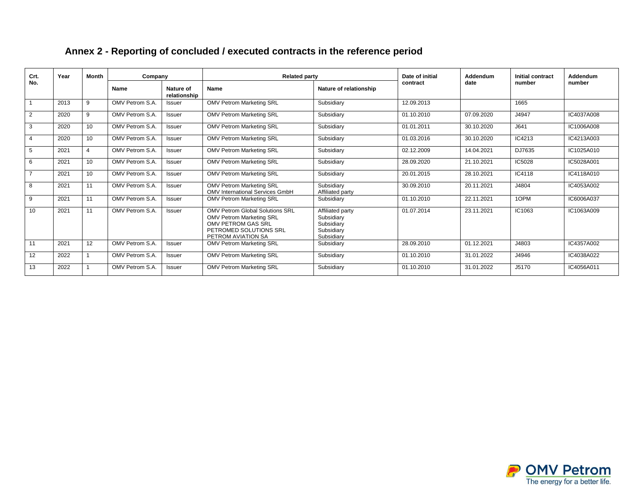| Crt.           | Year | <b>Month</b>    | Company         |                           | <b>Related party</b>                                                                                                                     | Date of initial                                                          | Addendum   | Initial contract | Addendum |            |  |
|----------------|------|-----------------|-----------------|---------------------------|------------------------------------------------------------------------------------------------------------------------------------------|--------------------------------------------------------------------------|------------|------------------|----------|------------|--|
| No.            |      |                 | Name            | Nature of<br>relationship | Name                                                                                                                                     | Nature of relationship                                                   | contract   | date             | number   | number     |  |
|                | 2013 | 9               | OMV Petrom S.A. | <b>Issuer</b>             | <b>OMV Petrom Marketing SRL</b>                                                                                                          | Subsidiary                                                               | 12.09.2013 |                  | 1665     |            |  |
| $\overline{2}$ | 2020 | 9               | OMV Petrom S.A. | <b>Issuer</b>             | <b>OMV Petrom Marketing SRL</b>                                                                                                          | Subsidiary                                                               | 01.10.2010 | 07.09.2020       | J4947    | IC4037A008 |  |
| 3              | 2020 | 10 <sup>1</sup> | OMV Petrom S.A. | <b>Issuer</b>             | <b>OMV Petrom Marketing SRL</b>                                                                                                          | Subsidiary                                                               | 01.01.2011 | 30.10.2020       | J641     | IC1006A008 |  |
| $\overline{4}$ | 2020 | 10              | OMV Petrom S.A. | <b>Issuer</b>             | <b>OMV Petrom Marketing SRL</b>                                                                                                          | Subsidiary                                                               | 01.03.2016 | 30.10.2020       | IC4213   | IC4213A003 |  |
| 5              | 2021 | 4               | OMV Petrom S.A. | <b>Issuer</b>             | <b>OMV Petrom Marketing SRL</b>                                                                                                          | Subsidiary                                                               | 02.12.2009 | 14.04.2021       | DJ7635   | IC1025A010 |  |
| 6              | 2021 | 10              | OMV Petrom S.A. | <b>Issuer</b>             | <b>OMV Petrom Marketing SRL</b>                                                                                                          | Subsidiary                                                               | 28.09.2020 | 21.10.2021       | IC5028   | IC5028A001 |  |
| $\overline{7}$ | 2021 | 10 <sup>1</sup> | OMV Petrom S.A. | <b>Issuer</b>             | <b>OMV Petrom Marketing SRL</b>                                                                                                          | Subsidiary                                                               | 20.01.2015 | 28.10.2021       | IC4118   | IC4118A010 |  |
| 8              | 2021 | 11              | OMV Petrom S.A. | <b>Issuer</b>             | <b>OMV Petrom Marketing SRL</b><br><b>OMV International Services GmbH</b>                                                                | Subsidiary<br>Affiliated party                                           | 30.09.2010 | 20.11.2021       | J4804    | IC4053A002 |  |
| 9              | 2021 | 11              | OMV Petrom S.A. | <b>Issuer</b>             | <b>OMV Petrom Marketing SRL</b>                                                                                                          | Subsidiary                                                               | 01.10.2010 | 22.11.2021       | 1OPM     | IC6006A037 |  |
| 10             | 2021 | 11              | OMV Petrom S.A. | <b>Issuer</b>             | OMV Petrom Global Solutions SRL<br><b>OMV Petrom Marketing SRL</b><br>OMV PETROM GAS SRL<br>PETROMED SOLUTIONS SRL<br>PETROM AVIATION SA | Affiliated party<br>Subsidiary<br>Subsidiary<br>Subsidiary<br>Subsidiarv | 01.07.2014 | 23.11.2021       | IC1063   | IC1063A009 |  |
| 11             | 2021 | 12              | OMV Petrom S.A. | <b>Issuer</b>             | <b>OMV Petrom Marketing SRL</b>                                                                                                          | Subsidiary                                                               | 28.09.2010 | 01.12.2021       | J4803    | IC4357A002 |  |
| 12             | 2022 |                 | OMV Petrom S.A. | <b>Issuer</b>             | <b>OMV Petrom Marketing SRL</b>                                                                                                          | Subsidiary                                                               | 01.10.2010 | 31.01.2022       | J4946    | IC4038A022 |  |
| 13             | 2022 |                 | OMV Petrom S.A. | <b>Issuer</b>             | <b>OMV Petrom Marketing SRL</b>                                                                                                          | Subsidiary                                                               | 01.10.2010 | 31.01.2022       | J5170    | IC4056A011 |  |

## **Annex 2 - Reporting of concluded / executed contracts in the reference period**

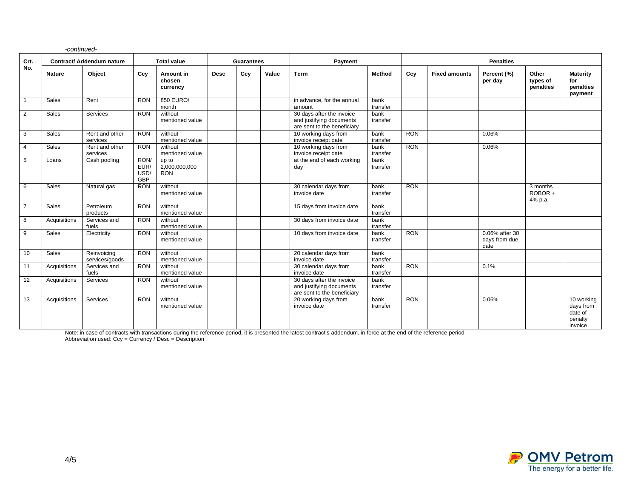|                | -continued-               |                               |                                    |                                      |                   |     |       |                                                                                      |                  |                  |                      |                                         |                                |                                                          |
|----------------|---------------------------|-------------------------------|------------------------------------|--------------------------------------|-------------------|-----|-------|--------------------------------------------------------------------------------------|------------------|------------------|----------------------|-----------------------------------------|--------------------------------|----------------------------------------------------------|
| Crt.           | Contract/ Addendum nature |                               | <b>Total value</b>                 |                                      | <b>Guarantees</b> |     |       | Payment                                                                              |                  | <b>Penalties</b> |                      |                                         |                                |                                                          |
| No.            | <b>Nature</b>             | Object                        | Ccy                                | Amount in<br>chosen<br>currency      | <b>Desc</b>       | Ccy | Value | <b>Term</b>                                                                          | Method           | Ccy              | <b>Fixed amounts</b> | Percent (%)<br>per day                  | Other<br>types of<br>penalties | <b>Maturity</b><br>for<br>penalties<br>payment           |
| $\mathbf{1}$   | Sales                     | Rent                          | <b>RON</b>                         | 850 EURO/<br>month                   |                   |     |       | in advance, for the annual<br>amount                                                 | bank<br>transfer |                  |                      |                                         |                                |                                                          |
| 2              | Sales                     | Services                      | <b>RON</b>                         | without<br>mentioned value           |                   |     |       | 30 days after the invoice<br>and justifying documents<br>are sent to the beneficiary | bank<br>transfer |                  |                      |                                         |                                |                                                          |
| 3              | Sales                     | Rent and other<br>services    | <b>RON</b>                         | without<br>mentioned value           |                   |     |       | 10 working days from<br>invoice receipt date                                         | bank<br>transfer | <b>RON</b>       |                      | 0.06%                                   |                                |                                                          |
| $\overline{4}$ | Sales                     | Rent and other<br>services    | <b>RON</b>                         | without<br>mentioned value           |                   |     |       | 10 working days from<br>invoice receipt date                                         | bank<br>transfer | <b>RON</b>       |                      | 0.06%                                   |                                |                                                          |
| 5              | Loans                     | Cash pooling                  | RON/<br>EUR/<br>USD/<br><b>GBP</b> | up to<br>2,000,000,000<br><b>RON</b> |                   |     |       | at the end of each working<br>day                                                    | bank<br>transfer |                  |                      |                                         |                                |                                                          |
| 6              | Sales                     | Natural gas                   | <b>RON</b>                         | without<br>mentioned value           |                   |     |       | 30 calendar days from<br>invoice date                                                | bank<br>transfer | <b>RON</b>       |                      |                                         | 3 months<br>ROBOR+<br>4% p.a.  |                                                          |
| $\overline{7}$ | Sales                     | Petroleum<br>products         | <b>RON</b>                         | without<br>mentioned value           |                   |     |       | 15 days from invoice date                                                            | bank<br>transfer |                  |                      |                                         |                                |                                                          |
| 8              | Acquisitions              | Services and<br>fuels         | <b>RON</b>                         | without<br>mentioned value           |                   |     |       | 30 days from invoice date                                                            | bank<br>transfer |                  |                      |                                         |                                |                                                          |
| 9              | Sales                     | Electricity                   | <b>RON</b>                         | without<br>mentioned value           |                   |     |       | 10 days from invoice date                                                            | bank<br>transfer | <b>RON</b>       |                      | 0.06% after 30<br>days from due<br>date |                                |                                                          |
| 10             | Sales                     | Reinvoicing<br>services/goods | <b>RON</b>                         | without<br>mentioned value           |                   |     |       | 20 calendar days from<br>invoice date                                                | bank<br>transfer |                  |                      |                                         |                                |                                                          |
| 11             | Acquisitions              | Services and<br>fuels         | <b>RON</b>                         | without<br>mentioned value           |                   |     |       | 30 calendar days from<br>invoice date                                                | bank<br>transfer | <b>RON</b>       |                      | 0.1%                                    |                                |                                                          |
| 12             | Acquisitions              | Services                      | <b>RON</b>                         | without<br>mentioned value           |                   |     |       | 30 days after the invoice<br>and justifying documents<br>are sent to the beneficiary | bank<br>transfer |                  |                      |                                         |                                |                                                          |
| 13             | Acquisitions              | Services                      | <b>RON</b>                         | without<br>mentioned value           |                   |     |       | 20 working days from<br>invoice date                                                 | bank<br>transfer | <b>RON</b>       |                      | 0.06%                                   |                                | 10 working<br>days from<br>date of<br>penalty<br>invoice |

Note: in case of contracts with transactions during the reference period, it is presented the latest contract's addendum, in force at the end of the reference period Abbreviation used: Ccy = Currency / Desc = Description